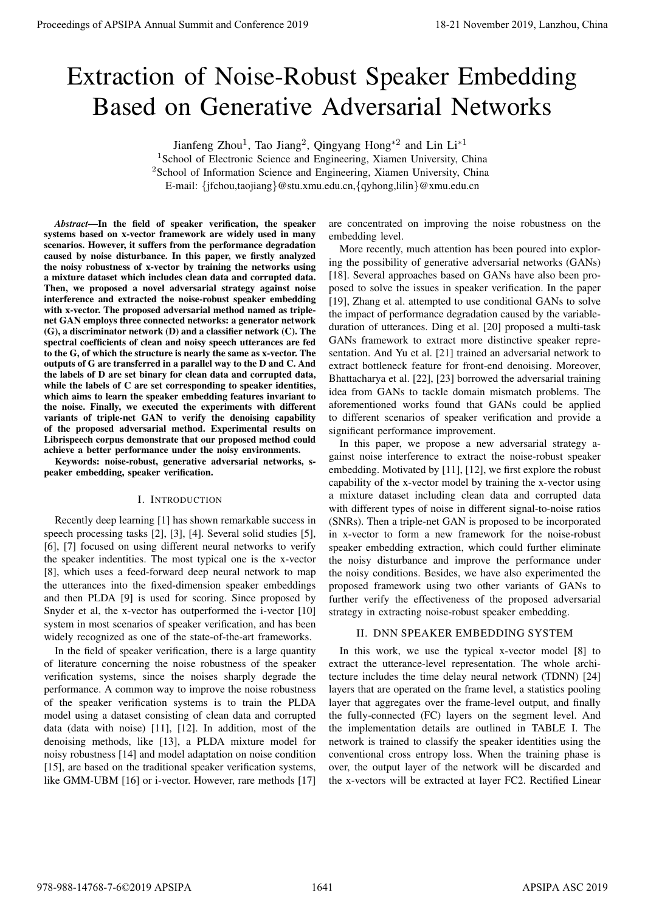# Extraction of Noise-Robust Speaker Embedding Based on Generative Adversarial Networks

Jianfeng Zhou<sup>1</sup>, Tao Jiang<sup>2</sup>, Qingyang Hong<sup>\*2</sup> and Lin Li<sup>\*1</sup>

<sup>1</sup>School of Electronic Science and Engineering, Xiamen University, China <sup>2</sup>School of Information Science and Engineering, Xiamen University, China E-mail: *{*jfchou,taojiang*}*@stu.xmu.edu.cn,*{*qyhong,lilin*}*@xmu.edu.cn

*Abstract*—In the field of speaker verification, the speaker systems based on x-vector framework are widely used in many scenarios. However, it suffers from the performance degradation caused by noise disturbance. In this paper, we firstly analyzed the noisy robustness of x-vector by training the networks using a mixture dataset which includes clean data and corrupted data. Then, we proposed a novel adversarial strategy against noise interference and extracted the noise-robust speaker embedding with x-vector. The proposed adversarial method named as triplenet GAN employs three connected networks: a generator network (G), a discriminator network (D) and a classifier network (C). The spectral coefficients of clean and noisy speech utterances are fed to the G, of which the structure is nearly the same as x-vector. The outputs of G are transferred in a parallel way to the D and C. And the labels of D are set binary for clean data and corrupted data, while the labels of C are set corresponding to speaker identities, which aims to learn the speaker embedding features invariant to the noise. Finally, we executed the experiments with different variants of triple-net GAN to verify the denoising capability of the proposed adversarial method. Experimental results on Librispeech corpus demonstrate that our proposed method could achieve a better performance under the noisy environments. **Proceedings of APSIPA Annual Summit at China 978-988-1481** (Figure 2019) 19-21 November 2019) 20: **Example 2019** 19-21 November 2019 20: **Example 2019** 19-21 November 2019 20: **Example 2019** 19-21 November 2019 20: **Exam** 

Keywords: noise-robust, generative adversarial networks, speaker embedding, speaker verification.

## I. INTRODUCTION

Recently deep learning [1] has shown remarkable success in speech processing tasks [2], [3], [4]. Several solid studies [5], [6], [7] focused on using different neural networks to verify the speaker indentities. The most typical one is the x-vector [8], which uses a feed-forward deep neural network to map the utterances into the fixed-dimension speaker embeddings and then PLDA [9] is used for scoring. Since proposed by Snyder et al, the x-vector has outperformed the i-vector [10] system in most scenarios of speaker verification, and has been widely recognized as one of the state-of-the-art frameworks.

In the field of speaker verification, there is a large quantity of literature concerning the noise robustness of the speaker verification systems, since the noises sharply degrade the performance. A common way to improve the noise robustness of the speaker verification systems is to train the PLDA model using a dataset consisting of clean data and corrupted data (data with noise) [11], [12]. In addition, most of the denoising methods, like [13], a PLDA mixture model for noisy robustness [14] and model adaptation on noise condition [15], are based on the traditional speaker verification systems, like GMM-UBM [16] or i-vector. However, rare methods [17]

are concentrated on improving the noise robustness on the embedding level.

More recently, much attention has been poured into exploring the possibility of generative adversarial networks (GANs) [18]. Several approaches based on GANs have also been proposed to solve the issues in speaker verification. In the paper [19], Zhang et al. attempted to use conditional GANs to solve the impact of performance degradation caused by the variableduration of utterances. Ding et al. [20] proposed a multi-task GANs framework to extract more distinctive speaker representation. And Yu et al. [21] trained an adversarial network to extract bottleneck feature for front-end denoising. Moreover, Bhattacharya et al. [22], [23] borrowed the adversarial training idea from GANs to tackle domain mismatch problems. The aforementioned works found that GANs could be applied to different scenarios of speaker verification and provide a significant performance improvement.

In this paper, we propose a new adversarial strategy against noise interference to extract the noise-robust speaker embedding. Motivated by [11], [12], we first explore the robust capability of the x-vector model by training the x-vector using a mixture dataset including clean data and corrupted data with different types of noise in different signal-to-noise ratios (SNRs). Then a triple-net GAN is proposed to be incorporated in x-vector to form a new framework for the noise-robust speaker embedding extraction, which could further eliminate the noisy disturbance and improve the performance under the noisy conditions. Besides, we have also experimented the proposed framework using two other variants of GANs to further verify the effectiveness of the proposed adversarial strategy in extracting noise-robust speaker embedding.

# II. DNN SPEAKER EMBEDDING SYSTEM

In this work, we use the typical x-vector model [8] to extract the utterance-level representation. The whole architecture includes the time delay neural network (TDNN) [24] layers that are operated on the frame level, a statistics pooling layer that aggregates over the frame-level output, and finally the fully-connected (FC) layers on the segment level. And the implementation details are outlined in TABLE I. The network is trained to classify the speaker identities using the conventional cross entropy loss. When the training phase is over, the output layer of the network will be discarded and the x-vectors will be extracted at layer FC2. Rectified Linear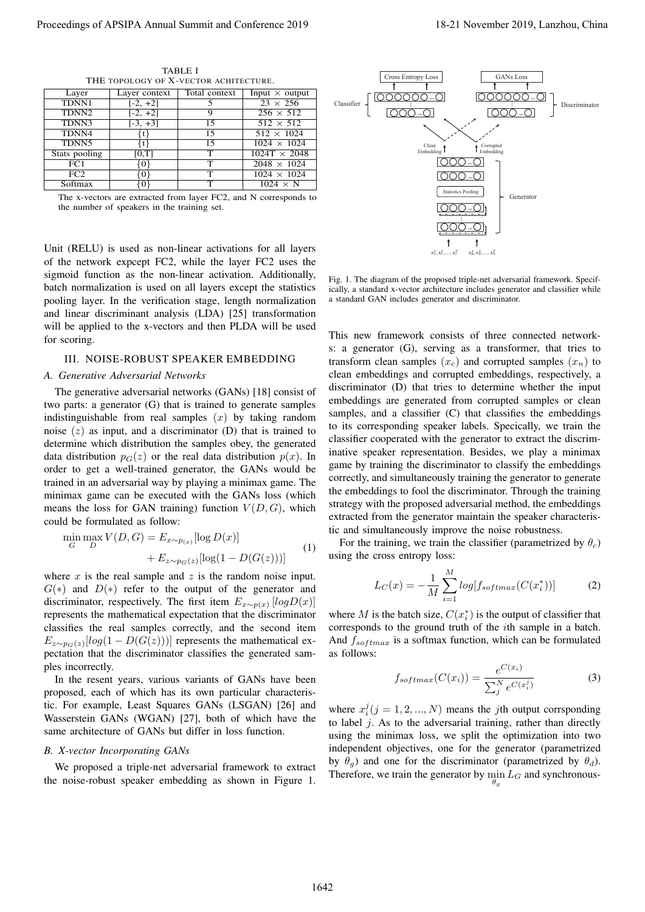| Layer             | Layer context | Total context | Input $\times$ output |  |  |
|-------------------|---------------|---------------|-----------------------|--|--|
| TDNN1             | $[-2, +2]$    |               | $23 \times 256$       |  |  |
| TDNN <sub>2</sub> | $[-2, +2]$    | 9             | $256 \times 512$      |  |  |
| TDNN3             | $[-3, +3]$    | 15            | $512 \times 512$      |  |  |
| TDNN4             |               | 15            | $512 \times 1024$     |  |  |
| TDNN5             |               | 15            | $1024 \times 1024$    |  |  |
| Stats pooling     | [0,T]         | т             | $1024T \times 2048$   |  |  |
| FC1               | 01            | т             | $2048 \times 1024$    |  |  |
| FC2               |               | т             | $1024 \times 1024$    |  |  |
| Softmax           |               | т             | $1024 \times N$       |  |  |

TABLE I THE TOPOLOGY OF X-VECTOR ACHITECTURE.

The x-vectors are extracted from layer FC2, and N corresponds to the number of speakers in the training set.

Unit (RELU) is used as non-linear activations for all layers of the network expcept FC2, while the layer FC2 uses the sigmoid function as the non-linear activation. Additionally, batch normalization is used on all layers except the statistics pooling layer. In the verification stage, length normalization and linear discriminant analysis (LDA) [25] transformation will be applied to the x-vectors and then PLDA will be used for scoring.

## III. NOISE-ROBUST SPEAKER EMBEDDING

### *A. Generative Adversarial Networks*

The generative adversarial networks (GANs) [18] consist of two parts: a generator (G) that is trained to generate samples indistinguishable from real samples (*x*) by taking random noise (*z*) as input, and a discriminator (D) that is trained to determine which distribution the samples obey, the generated data distribution  $p_G(z)$  or the real data distribution  $p(x)$ . In order to get a well-trained generator, the GANs would be trained in an adversarial way by playing a minimax game. The minimax game can be executed with the GANs loss (which means the loss for GAN training) function  $V(D, G)$ , which could be formulated as follow:

$$
\min_{G} \max_{D} V(D, G) = E_{x \sim p_{(x)}}[\log D(x)]
$$
  
+ 
$$
E_{z \sim p_G(z)}[\log(1 - D(G(z)))]
$$
 (1)

where  $x$  is the real sample and  $z$  is the random noise input. *G*(*∗*) and *D*(*∗*) refer to the output of the generator and discriminator, respectively. The first item  $E_{x \sim p(x)}$  [logD(*x*)] represents the mathematical expectation that the discriminator classifies the real samples correctly, and the second item  $E_{z \sim p_G(z)}[log(1 - D(G(z)))]$  represents the mathematical expectation that the discriminator classifies the generated samples incorrectly.

In the resent years, various variants of GANs have been proposed, each of which has its own particular characteristic. For example, Least Squares GANs (LSGAN) [26] and Wasserstein GANs (WGAN) [27], both of which have the same architecture of GANs but differ in loss function.

## *B. X-vector Incorporating GANs*

We proposed a triple-net adversarial framework to extract the noise-robust speaker embedding as shown in Figure 1.



Fig. 1. The diagram of the proposed triple-net adversarial framework. Specifically, a standard x-vector architecture includes generator and classifier while a standard GAN includes generator and discriminator.

This new framework consists of three connected networks: a generator (G), serving as a transformer, that tries to transform clean samples  $(x_c)$  and corrupted samples  $(x_n)$  to clean embeddings and corrupted embeddings, respectively, a discriminator (D) that tries to determine whether the input embeddings are generated from corrupted samples or clean samples, and a classifier (C) that classifies the embeddings to its corresponding speaker labels. Specically, we train the classifier cooperated with the generator to extract the discriminative speaker representation. Besides, we play a minimax game by training the discriminator to classify the embeddings correctly, and simultaneously training the generator to generate the embeddings to fool the discriminator. Through the training strategy with the proposed adversarial method, the embeddings extracted from the generator maintain the speaker characteristic and simultaneously improve the noise robustness.

For the training, we train the classifier (parametrized by  $\theta_c$ ) using the cross entropy loss:

$$
L_C(x) = -\frac{1}{M} \sum_{i=1}^{M} log[f_{softmax}(C(x_i^*))]
$$
 (2)

where *M* is the batch size,  $C(x_i^*)$  is the output of classifier that corresponds to the ground truth of the *i*th sample in a batch. And  $f_{softmax}$  is a softmax function, which can be formulated as follows:

$$
f_{softmax}(C(x_i)) = \frac{e^{C(x_i)}}{\sum_{j}^{N} e^{C(x_i^j)}}
$$
(3)

where  $x_i^j$  ( $j = 1, 2, ..., N$ ) means the *j*th output corrsponding to label *j*. As to the adversarial training, rather than directly using the minimax loss, we split the optimization into two independent objectives, one for the generator (parametrized by  $\theta_q$ ) and one for the discriminator (parametrized by  $\theta_d$ ). Therefore, we train the generator by  $\min_{\theta_g} L_G$  and synchronous-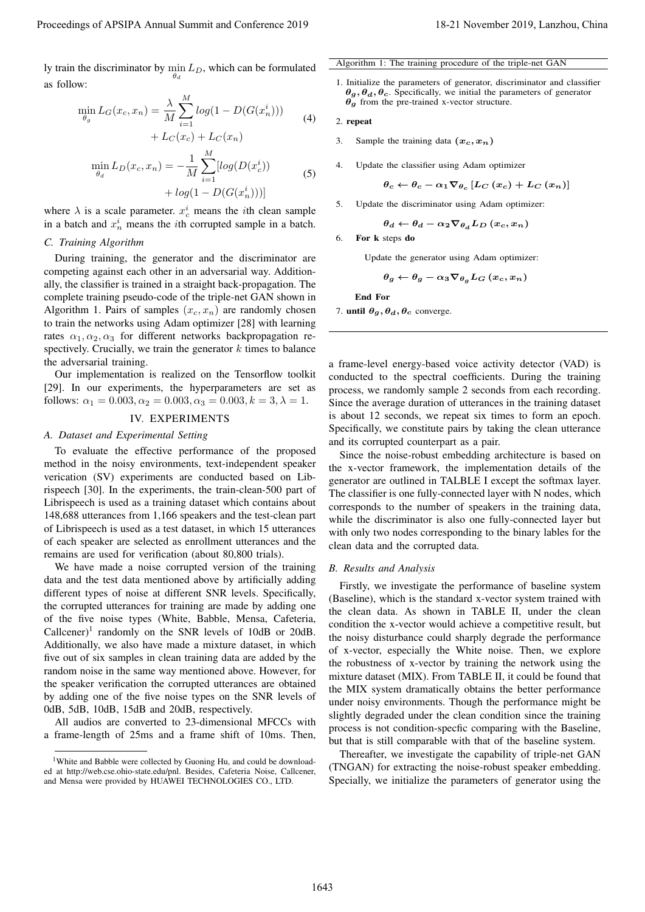ly train the discriminator by min *LD*, which can be formulated *θd* as follow:

$$
\min_{\theta_g} L_G(x_c, x_n) = \frac{\lambda}{M} \sum_{i=1}^{M} log(1 - D(G(x_n^i))) + L_C(x_c) + L_C(x_n)
$$
\n(4)

$$
\min_{\theta_d} L_D(x_c, x_n) = -\frac{1}{M} \sum_{i=1}^{M} [log(D(x_c^i)) + log(1 - D(G(x_n^i)))] \tag{5}
$$

where  $\lambda$  is a scale parameter.  $x_c^i$  means the *i*th clean sample in a batch and  $x_n^i$  means the *i*th corrupted sample in a batch.

## *C. Training Algorithm*

During training, the generator and the discriminator are competing against each other in an adversarial way. Additionally, the classifier is trained in a straight back-propagation. The complete training pseudo-code of the triple-net GAN shown in Algorithm 1. Pairs of samples  $(x_c, x_n)$  are randomly chosen to train the networks using Adam optimizer [28] with learning rates  $\alpha_1, \alpha_2, \alpha_3$  for different networks backpropagation respectively. Crucially, we train the generator *k* times to balance the adversarial training.

Our implementation is realized on the Tensorflow toolkit [29]. In our experiments, the hyperparameters are set as follows:  $\alpha_1 = 0.003, \alpha_2 = 0.003, \alpha_3 = 0.003, k = 3, \lambda = 1.$ 

## IV. EXPERIMENTS

## *A. Dataset and Experimental Setting*

To evaluate the effective performance of the proposed method in the noisy environments, text-independent speaker verication (SV) experiments are conducted based on Librispeech [30]. In the experiments, the train-clean-500 part of Librispeech is used as a training dataset which contains about 148,688 utterances from 1,166 speakers and the test-clean part of Librispeech is used as a test dataset, in which 15 utterances of each speaker are selected as enrollment utterances and the remains are used for verification (about 80,800 trials).

We have made a noise corrupted version of the training data and the test data mentioned above by artificially adding different types of noise at different SNR levels. Specifically, the corrupted utterances for training are made by adding one of the five noise types (White, Babble, Mensa, Cafeteria, Callcener)<sup>1</sup> randomly on the SNR levels of 10dB or 20dB. Additionally, we also have made a mixture dataset, in which five out of six samples in clean training data are added by the random noise in the same way mentioned above. However, for the speaker verification the corrupted utterances are obtained by adding one of the five noise types on the SNR levels of 0dB, 5dB, 10dB, 15dB and 20dB, respectively.

All audios are converted to 23-dimensional MFCCs with a frame-length of 25ms and a frame shift of 10ms. Then,

#### Algorithm 1: The training procedure of the triple-net GAN

1. Initialize the parameters of generator, discriminator and classifier *θg, θd, θc*. Specifically, we initial the parameters of generator *θg* from the pre-trained x-vector structure.

#### 2. repeat

- 3. Sample the training data  $(x_c, x_n)$
- 4. Update the classifier using Adam optimizer

$$
\theta_c \leftarrow \theta_c - \alpha_1 \nabla_{\theta_c} \left[ L_C \left( x_c \right) + L_C \left( x_n \right) \right]
$$

5. Update the discriminator using Adam optimizer:

$$
\theta_d \leftarrow \theta_d - \alpha_2 \nabla_{\theta_d} L_D \left(x_c, x_n\right)
$$

6. For k steps do

Update the generator using Adam optimizer:

$$
\theta_g \leftarrow \theta_g - \alpha_3 \nabla_{\theta_g} L_G(x_c, x_n)
$$

End For

7. until  $\theta_g$ ,  $\theta_d$ ,  $\theta_c$  converge.

a frame-level energy-based voice activity detector (VAD) is conducted to the spectral coefficients. During the training process, we randomly sample 2 seconds from each recording. Since the average duration of utterances in the training dataset is about 12 seconds, we repeat six times to form an epoch. Specifically, we constitute pairs by taking the clean utterance and its corrupted counterpart as a pair.

Since the noise-robust embedding architecture is based on the x-vector framework, the implementation details of the generator are outlined in TALBLE I except the softmax layer. The classifier is one fully-connected layer with N nodes, which corresponds to the number of speakers in the training data, while the discriminator is also one fully-connected layer but with only two nodes corresponding to the binary lables for the clean data and the corrupted data.

#### *B. Results and Analysis*

Firstly, we investigate the performance of baseline system (Baseline), which is the standard x-vector system trained with the clean data. As shown in TABLE II, under the clean condition the x-vector would achieve a competitive result, but the noisy disturbance could sharply degrade the performance of x-vector, especially the White noise. Then, we explore the robustness of x-vector by training the network using the mixture dataset (MIX). From TABLE II, it could be found that the MIX system dramatically obtains the better performance under noisy environments. Though the performance might be slightly degraded under the clean condition since the training process is not condition-specfic comparing with the Baseline, but that is still comparable with that of the baseline system. Proceedings of APSIPA Annual Summit and Conference 2019 18-21 November 2019, Lanzhou, China 1643

Thereafter, we investigate the capability of triple-net GAN (TNGAN) for extracting the noise-robust speaker embedding. Specially, we initialize the parameters of generator using the

<sup>&</sup>lt;sup>1</sup>White and Babble were collected by Guoning Hu, and could be downloaded at http://web.cse.ohio-state.edu/pnl. Besides, Cafeteria Noise, Callcener, and Mensa were provided by HUAWEI TECHNOLOGIES CO., LTD.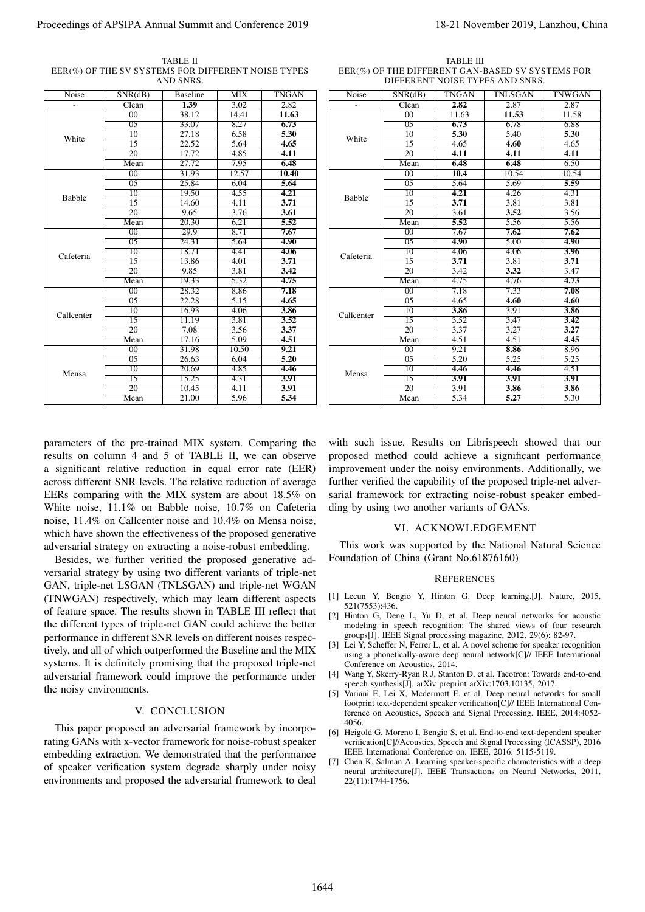TABLE II EER(%) OF THE SV SYSTEMS FOR DIFFERENT NOISE TYPES AND SNRS.

| Noise                   | SNR(dB)                                                                                                                                                                                                                                                                                                                                                                                                                                                                                                                                                                                                                                                                                                                                                                                   | AND SNRS.<br><b>Baseline</b> | <b>MIX</b>    | TNGAN                                                  | Noise                                                              | SNR(dB)                        | <b>TNGAN</b>      | DIFFERENT NOISE TYPES AND SNRS.<br><b>TNLSGAN</b>                                                                                                                                                                                                                                                                                                                                                                                                                                                                                                                                                                                                                                                                                                                                                                                                                                                               | <b>TNWGAN</b> |
|-------------------------|-------------------------------------------------------------------------------------------------------------------------------------------------------------------------------------------------------------------------------------------------------------------------------------------------------------------------------------------------------------------------------------------------------------------------------------------------------------------------------------------------------------------------------------------------------------------------------------------------------------------------------------------------------------------------------------------------------------------------------------------------------------------------------------------|------------------------------|---------------|--------------------------------------------------------|--------------------------------------------------------------------|--------------------------------|-------------------|-----------------------------------------------------------------------------------------------------------------------------------------------------------------------------------------------------------------------------------------------------------------------------------------------------------------------------------------------------------------------------------------------------------------------------------------------------------------------------------------------------------------------------------------------------------------------------------------------------------------------------------------------------------------------------------------------------------------------------------------------------------------------------------------------------------------------------------------------------------------------------------------------------------------|---------------|
|                         | Clean                                                                                                                                                                                                                                                                                                                                                                                                                                                                                                                                                                                                                                                                                                                                                                                     | 1.39                         | 3.02          | 2.82                                                   |                                                                    | Clean                          | 2.82              | 2.87                                                                                                                                                                                                                                                                                                                                                                                                                                                                                                                                                                                                                                                                                                                                                                                                                                                                                                            | 2.87          |
| White                   | 00<br>$\overline{05}$                                                                                                                                                                                                                                                                                                                                                                                                                                                                                                                                                                                                                                                                                                                                                                     | 38.12<br>33.07               | 14.41<br>8.27 | 11.63<br>6.73                                          | White                                                              | 00<br>$\overline{05}$          | 11.63<br>6.73     | 11.53<br>6.78                                                                                                                                                                                                                                                                                                                                                                                                                                                                                                                                                                                                                                                                                                                                                                                                                                                                                                   | 11.58<br>6.88 |
|                         | 10                                                                                                                                                                                                                                                                                                                                                                                                                                                                                                                                                                                                                                                                                                                                                                                        | 27.18                        | 6.58          | 5.30                                                   |                                                                    | 10                             | 5.30              | 5.40                                                                                                                                                                                                                                                                                                                                                                                                                                                                                                                                                                                                                                                                                                                                                                                                                                                                                                            | 5.30          |
|                         | 15                                                                                                                                                                                                                                                                                                                                                                                                                                                                                                                                                                                                                                                                                                                                                                                        | 22.52                        | 5.64          | 4.65                                                   |                                                                    | 15                             | 4.65              | 4.60                                                                                                                                                                                                                                                                                                                                                                                                                                                                                                                                                                                                                                                                                                                                                                                                                                                                                                            | 4.65          |
|                         | 20                                                                                                                                                                                                                                                                                                                                                                                                                                                                                                                                                                                                                                                                                                                                                                                        | 17.72                        | 4.85          | 4.11                                                   |                                                                    | 20                             | 4.11              | 4.11                                                                                                                                                                                                                                                                                                                                                                                                                                                                                                                                                                                                                                                                                                                                                                                                                                                                                                            | 4.11          |
|                         | Mean<br>00                                                                                                                                                                                                                                                                                                                                                                                                                                                                                                                                                                                                                                                                                                                                                                                | 27.72<br>31.93               | 7.95<br>12.57 | 6.48<br>10.40                                          |                                                                    | Mean<br>00                     | 6.48<br>10.4      | 6.48<br>10.54                                                                                                                                                                                                                                                                                                                                                                                                                                                                                                                                                                                                                                                                                                                                                                                                                                                                                                   | 6.50<br>10.54 |
| <b>Babble</b>           | 05                                                                                                                                                                                                                                                                                                                                                                                                                                                                                                                                                                                                                                                                                                                                                                                        | 25.84                        | 6.04          | 5.64                                                   | <b>Babble</b>                                                      | 0 <sub>5</sub>                 | 5.64              | 5.69                                                                                                                                                                                                                                                                                                                                                                                                                                                                                                                                                                                                                                                                                                                                                                                                                                                                                                            | 5.59          |
|                         | 10                                                                                                                                                                                                                                                                                                                                                                                                                                                                                                                                                                                                                                                                                                                                                                                        | 19.50                        | 4.55          | 4.21                                                   |                                                                    | 10                             | 4.21              | 4.26                                                                                                                                                                                                                                                                                                                                                                                                                                                                                                                                                                                                                                                                                                                                                                                                                                                                                                            | 4.31          |
|                         | 15<br>$\overline{20}$                                                                                                                                                                                                                                                                                                                                                                                                                                                                                                                                                                                                                                                                                                                                                                     | 14.60<br>9.65                | 4.11<br>3.76  | 3.71<br>3.61                                           |                                                                    | 15<br>20                       | 3.71<br>3.61      | 3.81<br>3.52                                                                                                                                                                                                                                                                                                                                                                                                                                                                                                                                                                                                                                                                                                                                                                                                                                                                                                    | 3.81<br>3.56  |
|                         | Mean                                                                                                                                                                                                                                                                                                                                                                                                                                                                                                                                                                                                                                                                                                                                                                                      | 20.30                        | 6.21          | 5.52                                                   |                                                                    | Mean                           | 5.52              | 5.56                                                                                                                                                                                                                                                                                                                                                                                                                                                                                                                                                                                                                                                                                                                                                                                                                                                                                                            | 5.56          |
|                         | 00                                                                                                                                                                                                                                                                                                                                                                                                                                                                                                                                                                                                                                                                                                                                                                                        | 29.9                         | 8.71          | 7.67                                                   |                                                                    | 00                             | 7.67              | 7.62                                                                                                                                                                                                                                                                                                                                                                                                                                                                                                                                                                                                                                                                                                                                                                                                                                                                                                            | 7.62          |
|                         | $\overline{05}$                                                                                                                                                                                                                                                                                                                                                                                                                                                                                                                                                                                                                                                                                                                                                                           | 24.31                        | 5.64          | 4.90                                                   |                                                                    | $\overline{05}$                | 4.90              | 5.00                                                                                                                                                                                                                                                                                                                                                                                                                                                                                                                                                                                                                                                                                                                                                                                                                                                                                                            | 4.90          |
| Cafeteria               | $\overline{10}$<br>$\overline{15}$                                                                                                                                                                                                                                                                                                                                                                                                                                                                                                                                                                                                                                                                                                                                                        | 18.71<br>13.86               | 4.41<br>4.01  | 4.06<br>3.71                                           | Cafeteria                                                          | 10<br>15                       | 4.06<br>3.71      | 4.06<br>3.81                                                                                                                                                                                                                                                                                                                                                                                                                                                                                                                                                                                                                                                                                                                                                                                                                                                                                                    | 3.96<br>3.71  |
|                         | 20                                                                                                                                                                                                                                                                                                                                                                                                                                                                                                                                                                                                                                                                                                                                                                                        | 9.85                         | 3.81          | 3.42                                                   |                                                                    | $\overline{20}$                | 3.42              | 3.32                                                                                                                                                                                                                                                                                                                                                                                                                                                                                                                                                                                                                                                                                                                                                                                                                                                                                                            | 3.47          |
|                         | Mean                                                                                                                                                                                                                                                                                                                                                                                                                                                                                                                                                                                                                                                                                                                                                                                      | 19.33                        | 5.32          | 4.75                                                   |                                                                    | Mean                           | 4.75              | 4.76                                                                                                                                                                                                                                                                                                                                                                                                                                                                                                                                                                                                                                                                                                                                                                                                                                                                                                            | 4.73          |
|                         | 00                                                                                                                                                                                                                                                                                                                                                                                                                                                                                                                                                                                                                                                                                                                                                                                        | 28.32                        | 8.86          | 7.18                                                   |                                                                    | 00                             | 7.18              | 7.33                                                                                                                                                                                                                                                                                                                                                                                                                                                                                                                                                                                                                                                                                                                                                                                                                                                                                                            | 7.08          |
|                         | 0 <sub>5</sub><br>10                                                                                                                                                                                                                                                                                                                                                                                                                                                                                                                                                                                                                                                                                                                                                                      | 22.28<br>16.93               | 5.15<br>4.06  | 4.65<br>3.86                                           |                                                                    | 05<br>10                       | 4.65<br>3.86      | 4.60<br>3.91                                                                                                                                                                                                                                                                                                                                                                                                                                                                                                                                                                                                                                                                                                                                                                                                                                                                                                    | 4.60<br>3.86  |
| Callcenter              | 15                                                                                                                                                                                                                                                                                                                                                                                                                                                                                                                                                                                                                                                                                                                                                                                        | 11.19                        | 3.81          | 3.52                                                   | Callcenter                                                         | 15                             | 3.52              | 3.47                                                                                                                                                                                                                                                                                                                                                                                                                                                                                                                                                                                                                                                                                                                                                                                                                                                                                                            | 3.42          |
|                         | 20                                                                                                                                                                                                                                                                                                                                                                                                                                                                                                                                                                                                                                                                                                                                                                                        | 7.08                         | 3.56          | 3.37                                                   |                                                                    | 20                             | 3.37              | 3.27                                                                                                                                                                                                                                                                                                                                                                                                                                                                                                                                                                                                                                                                                                                                                                                                                                                                                                            | 3.27          |
|                         | Mean                                                                                                                                                                                                                                                                                                                                                                                                                                                                                                                                                                                                                                                                                                                                                                                      | 17.16                        | 5.09          | 4.51                                                   |                                                                    | Mean                           | 4.51              | 4.51                                                                                                                                                                                                                                                                                                                                                                                                                                                                                                                                                                                                                                                                                                                                                                                                                                                                                                            | 4.45          |
|                         | $\overline{00}$<br>$\overline{05}$                                                                                                                                                                                                                                                                                                                                                                                                                                                                                                                                                                                                                                                                                                                                                        | 31.98<br>26.63               | 10.50<br>6.04 | 9.21<br>5.20                                           |                                                                    | 00<br>$\overline{05}$          | 9.21<br>5.20      | 8.86<br>5.25                                                                                                                                                                                                                                                                                                                                                                                                                                                                                                                                                                                                                                                                                                                                                                                                                                                                                                    | 8.96<br>5.25  |
|                         | $\overline{10}$                                                                                                                                                                                                                                                                                                                                                                                                                                                                                                                                                                                                                                                                                                                                                                           | 20.69                        | 4.85          | 4.46                                                   |                                                                    | $\overline{10}$                | 4.46              | 4.46                                                                                                                                                                                                                                                                                                                                                                                                                                                                                                                                                                                                                                                                                                                                                                                                                                                                                                            | 4.51          |
| Mensa                   | 15                                                                                                                                                                                                                                                                                                                                                                                                                                                                                                                                                                                                                                                                                                                                                                                        | 15.25                        | 4.31          | 3.91                                                   | Mensa                                                              | $\overline{15}$                | 3.91              | 3.91                                                                                                                                                                                                                                                                                                                                                                                                                                                                                                                                                                                                                                                                                                                                                                                                                                                                                                            | 3.91          |
|                         | $\overline{20}$<br>Mean                                                                                                                                                                                                                                                                                                                                                                                                                                                                                                                                                                                                                                                                                                                                                                   | 10.45<br>21.00               | 4.11<br>5.96  | 3.91<br>5.34                                           |                                                                    | $\overline{20}$<br>Mean        | 3.91<br>5.34      | 3.86<br>5.27                                                                                                                                                                                                                                                                                                                                                                                                                                                                                                                                                                                                                                                                                                                                                                                                                                                                                                    | 3.86<br>5.30  |
|                         | parameters of the pre-trained MIX system. Comparing the<br>results on column 4 and 5 of TABLE II, we can observe<br>a significant relative reduction in equal error rate (EER)<br>across different SNR levels. The relative reduction of average<br>EERs comparing with the MIX system are about 18.5% on<br>noise, 11.4% on Callcenter noise and 10.4% on Mensa noise,                                                                                                                                                                                                                                                                                                                                                                                                                   |                              |               | White noise, 11.1% on Babble noise, 10.7% on Cafeteria |                                                                    |                                |                   | with such issue. Results on Librispeech showed that our<br>proposed method could achieve a significant performance<br>improvement under the noisy environments. Additionally, we<br>further verified the capability of the proposed triple-net adver-<br>sarial framework for extracting noise-robust speaker embed-<br>ding by using two another variants of GANs.                                                                                                                                                                                                                                                                                                                                                                                                                                                                                                                                             |               |
| the noisy environments. | which have shown the effectiveness of the proposed generative<br>adversarial strategy on extracting a noise-robust embedding.<br>Besides, we further verified the proposed generative ad-<br>versarial strategy by using two different variants of triple-net<br>GAN, triple-net LSGAN (TNLSGAN) and triple-net WGAN<br>(TNWGAN) respectively, which may learn different aspects<br>of feature space. The results shown in TABLE III reflect that<br>the different types of triple-net GAN could achieve the better<br>performance in different SNR levels on different noises respec-<br>tively, and all of which outperformed the Baseline and the MIX<br>systems. It is definitely promising that the proposed triple-net<br>adversarial framework could improve the performance under | V. CONCLUSION                |               |                                                        | Foundation of China (Grant No.61876160)<br>521(7553):436.<br>4056. | Conference on Acoustics. 2014. | <b>REFERENCES</b> | VI. ACKNOWLEDGEMENT<br>This work was supported by the National Natural Science<br>[1] Lecun Y, Bengio Y, Hinton G. Deep learning.[J]. Nature, 2015,<br>[2] Hinton G, Deng L, Yu D, et al. Deep neural networks for acoustic<br>modeling in speech recognition: The shared views of four research<br>groups[J]. IEEE Signal processing magazine, 2012, 29(6): 82-97.<br>[3] Lei Y, Scheffer N, Ferrer L, et al. A novel scheme for speaker recognition<br>using a phonetically-aware deep neural network[C]// IEEE International<br>[4] Wang Y, Skerry-Ryan R J, Stanton D, et al. Tacotron: Towards end-to-end<br>speech synthesis[J]. arXiv preprint arXiv:1703.10135, 2017.<br>[5] Variani E, Lei X, Mcdermott E, et al. Deep neural networks for small<br>footprint text-dependent speaker verification[C]// IEEE International Con-<br>ference on Acoustics, Speech and Signal Processing. IEEE, 2014:4052- |               |

| TABLE III                                        |  |
|--------------------------------------------------|--|
| EER(%) OF THE DIFFERENT GAN-BASED SV SYSTEMS FOR |  |
| DIFFERENT NOISE TYPES AND SNRS.                  |  |

| Noise         | SNR(dB)         | TNGAN | TNLSGAN | TNWGAN |
|---------------|-----------------|-------|---------|--------|
|               | Clean           | 2.82  | 2.87    | 2.87   |
| White         | $\overline{00}$ | 11.63 | 11.53   | 11.58  |
|               | 0.5             | 6.73  | 6.78    | 6.88   |
|               | $\overline{10}$ | 5.30  | 5.40    | 5.30   |
|               | 15              | 4.65  | 4.60    | 4.65   |
|               | 20              | 4.11  | 4.11    | 4.11   |
|               | Mean            | 6.48  | 6.48    | 6.50   |
|               | 00              | 10.4  | 10.54   | 10.54  |
|               | 0.5             | 5.64  | 5.69    | 5.59   |
| <b>Babble</b> | $\overline{10}$ | 4.21  | 4.26    | 4.31   |
|               | 15              | 3.71  | 3.81    | 3.81   |
|               | 20              | 3.61  | 3.52    | 3.56   |
|               | Mean            | 5.52  | 5.56    | 5.56   |
| Cafeteria     | $\overline{00}$ | 7.67  | 7.62    | 7.62   |
|               | 0.5             | 4.90  | 5.00    | 4.90   |
|               | $\overline{10}$ | 4.06  | 4.06    | 3.96   |
|               | $\overline{15}$ | 3.71  | 3.81    | 3.71   |
|               | 20              | 3.42  | 3.32    | 3.47   |
|               | Mean            | 4.75  | 4.76    | 4.73   |
| Callcenter    | 0 <sub>0</sub>  | 7.18  | 7.33    | 7.08   |
|               | 0.5             | 4.65  | 4.60    | 4.60   |
|               | 10              | 3.86  | 3.91    | 3.86   |
|               | 15              | 3.52  | 3.47    | 3.42   |
|               | 20              | 3.37  | 3.27    | 3.27   |
|               | Mean            | 4.51  | 4.51    | 4.45   |
| Mensa         | $\overline{00}$ | 9.21  | 8.86    | 8.96   |
|               | 0.5             | 5.20  | 5.25    | 5.25   |
|               | $\overline{10}$ | 4.46  | 4.46    | 4.51   |
|               | $\overline{15}$ | 3.91  | 3.91    | 3.91   |
|               | $\overline{20}$ | 3.91  | 3.86    | 3.86   |
|               | Mean            | 5.34  | 5.27    | 5.30   |

## V. CONCLUSION

#### VI. ACKNOWLEDGEMENT

#### **REFERENCES**

- [1] Lecun Y, Bengio Y, Hinton G. Deep learning.[J]. Nature, 2015, 521(7553):436.
- [2] Hinton G, Deng L, Yu D, et al. Deep neural networks for acoustic modeling in speech recognition: The shared views of four research groups[J]. IEEE Signal processing magazine, 2012, 29(6): 82-97.
- [3] Lei Y, Scheffer N, Ferrer L, et al. A novel scheme for speaker recognition using a phonetically-aware deep neural network[C]// IEEE International Conference on Acoustics. 2014.
- [4] Wang Y, Skerry-Ryan R J, Stanton D, et al. Tacotron: Towards end-to-end speech synthesis[J]. arXiv preprint arXiv:1703.10135, 2017.
- [5] Variani E, Lei X, Mcdermott E, et al. Deep neural networks for small footprint text-dependent speaker verification[C]// IEEE International Conference on Acoustics, Speech and Signal Processing. IEEE, 2014:4052- 4056.
- [6] Heigold G, Moreno I, Bengio S, et al. End-to-end text-dependent speaker verification[C]//Acoustics, Speech and Signal Processing (ICASSP), 2016 IEEE International Conference on. IEEE, 2016: 5115-5119.
- [7] Chen K, Salman A. Learning speaker-specific characteristics with a deep neural architecture[J]. IEEE Transactions on Neural Networks, 2011, 22(11):1744-1756.